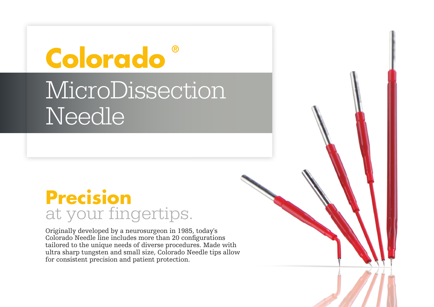# **Colorado ®**

## MicroDissection Needle

## **Precision**  at your fingertips.

Originally developed by a neurosurgeon in 1985, today's Colorado Needle line includes more than 20 configurations tailored to the unique needs of diverse procedures. Made with ultra sharp tungsten and small size, Colorado Needle tips allow for consistent precision and patient protection.